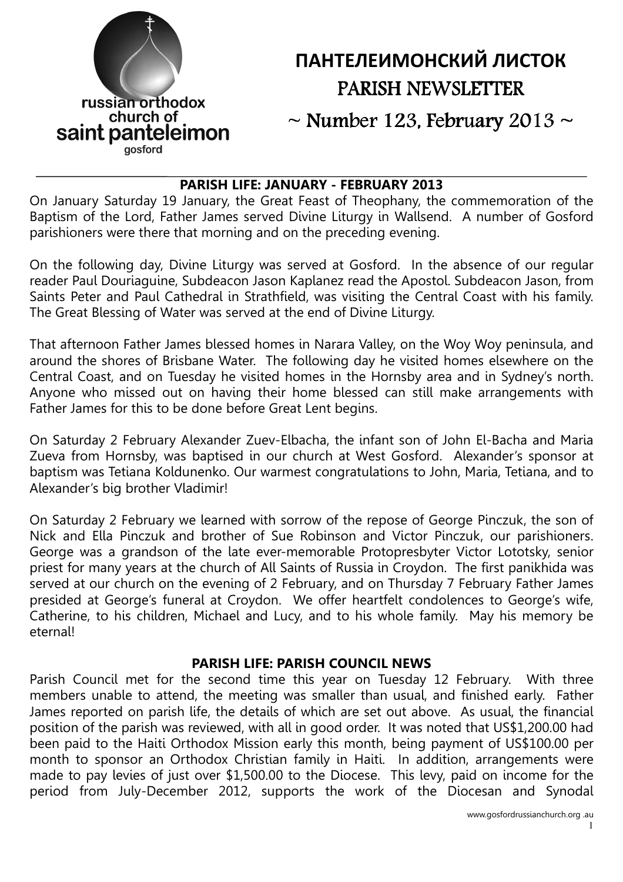

# ПАНТЕЛЕИМОНСКИЙ ЛИСТОК PARISH NEWSLETTER

 $\sim$  Number 123, February 2013  $\sim$ 

## PARISH LIFE: JANUARY - FEBRUARY 2013

On January Saturday 19 January, the Great Feast of Theophany, the commemoration of the Baptism of the Lord, Father James served Divine Liturgy in Wallsend. A number of Gosford parishioners were there that morning and on the preceding evening.

On the following day, Divine Liturgy was served at Gosford. In the absence of our regular reader Paul Douriaguine, Subdeacon Jason Kaplanez read the Apostol. Subdeacon Jason, from Saints Peter and Paul Cathedral in Strathfield, was visiting the Central Coast with his family. The Great Blessing of Water was served at the end of Divine Liturgy.

That afternoon Father James blessed homes in Narara Valley, on the Woy Woy peninsula, and around the shores of Brisbane Water. The following day he visited homes elsewhere on the Central Coast, and on Tuesday he visited homes in the Hornsby area and in Sydney's north. Anyone who missed out on having their home blessed can still make arrangements with Father James for this to be done before Great Lent begins.

On Saturday 2 February Alexander Zuev-Elbacha, the infant son of John El-Bacha and Maria Zueva from Hornsby, was baptised in our church at West Gosford. Alexander's sponsor at baptism was Tetiana Koldunenko. Our warmest congratulations to John, Maria, Tetiana, and to Alexander's big brother Vladimir!

On Saturday 2 February we learned with sorrow of the repose of George Pinczuk, the son of Nick and Ella Pinczuk and brother of Sue Robinson and Victor Pinczuk, our parishioners. George was a grandson of the late ever-memorable Protopresbyter Victor Lototsky, senior priest for many years at the church of All Saints of Russia in Croydon. The first panikhida was served at our church on the evening of 2 February, and on Thursday 7 February Father James presided at George's funeral at Croydon. We offer heartfelt condolences to George's wife, Catherine, to his children, Michael and Lucy, and to his whole family. May his memory be eternal!

## PARISH LIFE: PARISH COUNCIL NEWS

Parish Council met for the second time this year on Tuesday 12 February. With three members unable to attend, the meeting was smaller than usual, and finished early. Father James reported on parish life, the details of which are set out above. As usual, the financial position of the parish was reviewed, with all in good order. It was noted that US\$1,200.00 had been paid to the Haiti Orthodox Mission early this month, being payment of US\$100.00 per month to sponsor an Orthodox Christian family in Haiti. In addition, arrangements were made to pay levies of just over \$1,500.00 to the Diocese. This levy, paid on income for the period from July-December 2012, supports the work of the Diocesan and Synodal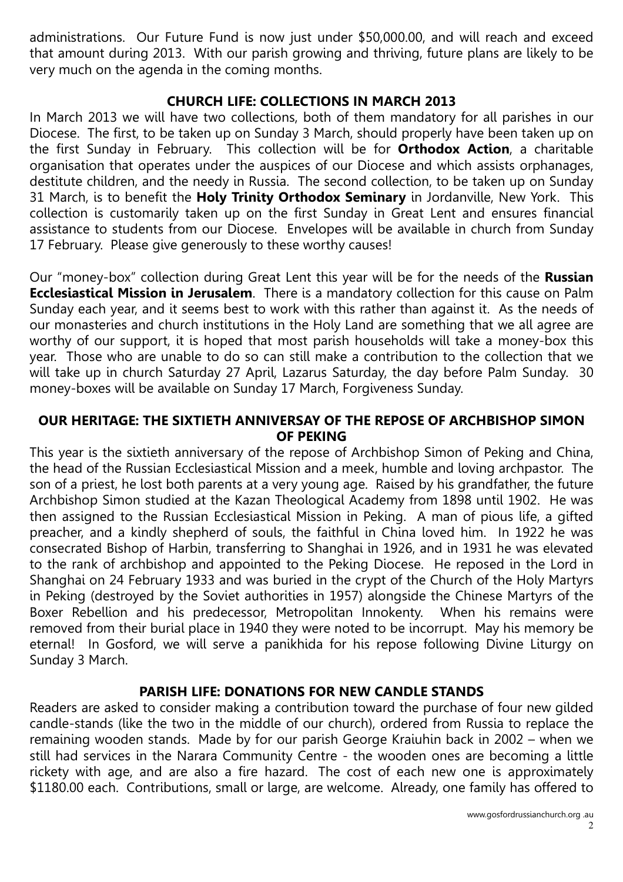administrations. Our Future Fund is now just under \$50,000.00, and will reach and exceed that amount during 2013. With our parish growing and thriving, future plans are likely to be very much on the agenda in the coming months.

## CHURCH LIFE: COLLECTIONS IN MARCH 2013

In March 2013 we will have two collections, both of them mandatory for all parishes in our Diocese. The first, to be taken up on Sunday 3 March, should properly have been taken up on the first Sunday in February. This collection will be for Orthodox Action, a charitable organisation that operates under the auspices of our Diocese and which assists orphanages, destitute children, and the needy in Russia. The second collection, to be taken up on Sunday 31 March, is to benefit the Holy Trinity Orthodox Seminary in Jordanville, New York. This collection is customarily taken up on the first Sunday in Great Lent and ensures financial assistance to students from our Diocese. Envelopes will be available in church from Sunday 17 February. Please give generously to these worthy causes!

Our "money-box" collection during Great Lent this year will be for the needs of the Russian **Ecclesiastical Mission in Jerusalem**. There is a mandatory collection for this cause on Palm Sunday each year, and it seems best to work with this rather than against it. As the needs of our monasteries and church institutions in the Holy Land are something that we all agree are worthy of our support, it is hoped that most parish households will take a money-box this year. Those who are unable to do so can still make a contribution to the collection that we will take up in church Saturday 27 April, Lazarus Saturday, the day before Palm Sunday. 30 money-boxes will be available on Sunday 17 March, Forgiveness Sunday.

### OUR HERITAGE: THE SIXTIETH ANNIVERSAY OF THE REPOSE OF ARCHBISHOP SIMON OF PEKING

This year is the sixtieth anniversary of the repose of Archbishop Simon of Peking and China, the head of the Russian Ecclesiastical Mission and a meek, humble and loving archpastor. The son of a priest, he lost both parents at a very young age. Raised by his grandfather, the future Archbishop Simon studied at the Kazan Theological Academy from 1898 until 1902. He was then assigned to the Russian Ecclesiastical Mission in Peking. A man of pious life, a gifted preacher, and a kindly shepherd of souls, the faithful in China loved him. In 1922 he was consecrated Bishop of Harbin, transferring to Shanghai in 1926, and in 1931 he was elevated to the rank of archbishop and appointed to the Peking Diocese. He reposed in the Lord in Shanghai on 24 February 1933 and was buried in the crypt of the Church of the Holy Martyrs in Peking (destroyed by the Soviet authorities in 1957) alongside the Chinese Martyrs of the Boxer Rebellion and his predecessor, Metropolitan Innokenty. When his remains were removed from their burial place in 1940 they were noted to be incorrupt. May his memory be eternal! In Gosford, we will serve a panikhida for his repose following Divine Liturgy on Sunday 3 March.

## PARISH LIFE: DONATIONS FOR NEW CANDLE STANDS

Readers are asked to consider making a contribution toward the purchase of four new gilded candle-stands (like the two in the middle of our church), ordered from Russia to replace the remaining wooden stands. Made by for our parish George Kraiuhin back in 2002 – when we still had services in the Narara Community Centre - the wooden ones are becoming a little rickety with age, and are also a fire hazard. The cost of each new one is approximately \$1180.00 each. Contributions, small or large, are welcome. Already, one family has offered to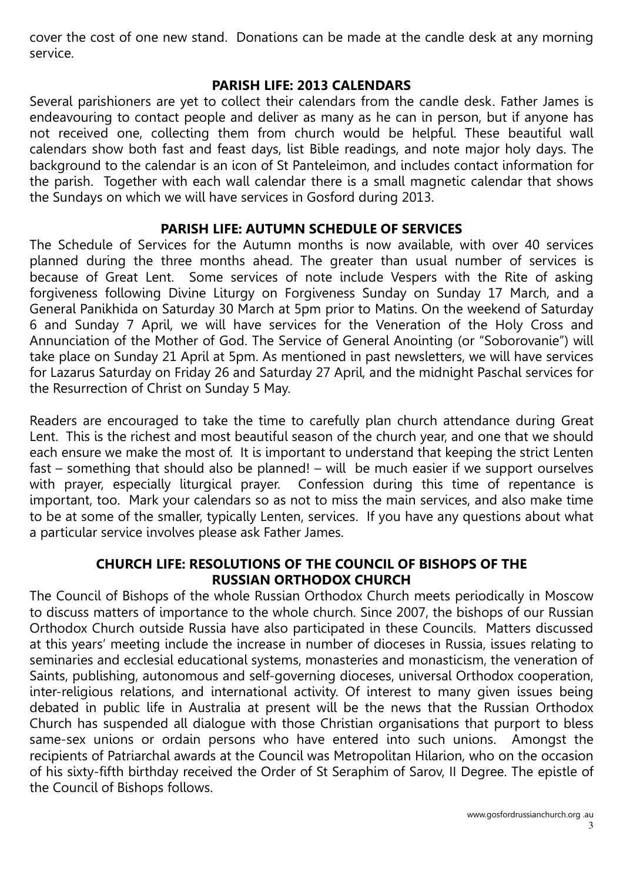cover the cost of one new stand. Donations can be made at the candle desk at any morning service.

## PARISH LIFE: 2013 CALENDARS

Several parishioners are yet to collect their calendars from the candle desk. Father James is endeavouring to contact people and deliver as many as he can in person, but if anyone has not received one, collecting them from church would be helpful. These beautiful wall calendars show both fast and feast days, list Bible readings, and note major holy days. The background to the calendar is an icon of St Panteleimon, and includes contact information for the parish. Together with each wall calendar there is a small magnetic calendar that shows the Sundays on which we will have services in Gosford during 2013.

# PARISH LIFE: AUTUMN SCHEDULE OF SERVICES

The Schedule of Services for the Autumn months is now available, with over 40 services planned during the three months ahead. The greater than usual number of services is because of Great Lent. Some services of note include Vespers with the Rite of asking forgiveness following Divine Liturgy on Forgiveness Sunday on Sunday 17 March, and a General Panikhida on Saturday 30 March at 5pm prior to Matins. On the weekend of Saturday 6 and Sunday 7 April, we will have services for the Veneration of the Holy Cross and Annunciation of the Mother of God. The Service of General Anointing (or "Soborovanie") will take place on Sunday 21 April at 5pm. As mentioned in past newsletters, we will have services for Lazarus Saturday on Friday 26 and Saturday 27 April, and the midnight Paschal services for the Resurrection of Christ on Sunday 5 May.

Readers are encouraged to take the time to carefully plan church attendance during Great Lent. This is the richest and most beautiful season of the church year, and one that we should each ensure we make the most of. It is important to understand that keeping the strict Lenten fast – something that should also be planned! – will be much easier if we support ourselves with prayer, especially liturgical prayer. Confession during this time of repentance is important, too. Mark your calendars so as not to miss the main services, and also make time to be at some of the smaller, typically Lenten, services. If you have any questions about what a particular service involves please ask Father James.

# CHURCH LIFE: RESOLUTIONS OF THE COUNCIL OF BISHOPS OF THE RUSSIAN ORTHODOX CHURCH

The Council of Bishops of the whole Russian Orthodox Church meets periodically in Moscow to discuss matters of importance to the whole church. Since 2007, the bishops of our Russian Orthodox Church outside Russia have also participated in these Councils. Matters discussed at this years' meeting include the increase in number of dioceses in Russia, issues relating to seminaries and ecclesial educational systems, monasteries and monasticism, the veneration of Saints, publishing, autonomous and self-governing dioceses, universal Orthodox cooperation, inter-religious relations, and international activity. Of interest to many given issues being debated in public life in Australia at present will be the news that the Russian Orthodox Church has suspended all dialogue with those Christian organisations that purport to bless same-sex unions or ordain persons who have entered into such unions. Amongst the recipients of Patriarchal awards at the Council was Metropolitan Hilarion, who on the occasion of his sixty-fifth birthday received the Order of St Seraphim of Sarov, II Degree. The epistle of the Council of Bishops follows.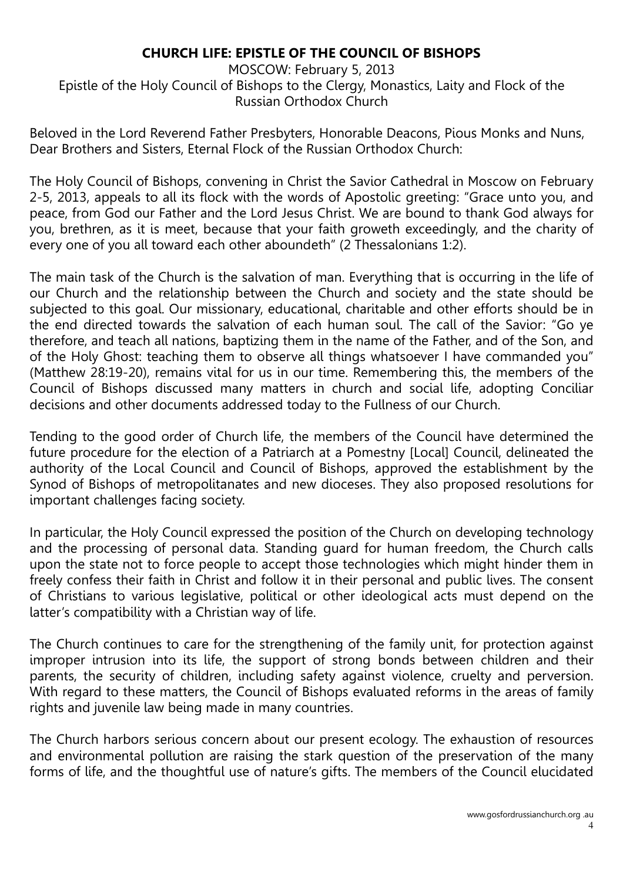# CHURCH LIFE: EPISTLE OF THE COUNCIL OF BISHOPS

MOSCOW: February 5, 2013 Epistle of the Holy Council of Bishops to the Clergy, Monastics, Laity and Flock of the Russian Orthodox Church

Beloved in the Lord Reverend Father Presbyters, Honorable Deacons, Pious Monks and Nuns, Dear Brothers and Sisters, Eternal Flock of the Russian Orthodox Church:

The Holy Council of Bishops, convening in Christ the Savior Cathedral in Moscow on February 2-5, 2013, appeals to all its flock with the words of Apostolic greeting: "Grace unto you, and peace, from God our Father and the Lord Jesus Christ. We are bound to thank God always for you, brethren, as it is meet, because that your faith groweth exceedingly, and the charity of every one of you all toward each other aboundeth" (2 Thessalonians 1:2).

The main task of the Church is the salvation of man. Everything that is occurring in the life of our Church and the relationship between the Church and society and the state should be subjected to this goal. Our missionary, educational, charitable and other efforts should be in the end directed towards the salvation of each human soul. The call of the Savior: "Go ye therefore, and teach all nations, baptizing them in the name of the Father, and of the Son, and of the Holy Ghost: teaching them to observe all things whatsoever I have commanded you" (Matthew 28:19-20), remains vital for us in our time. Remembering this, the members of the Council of Bishops discussed many matters in church and social life, adopting Conciliar decisions and other documents addressed today to the Fullness of our Church.

Tending to the good order of Church life, the members of the Council have determined the future procedure for the election of a Patriarch at a Pomestny [Local] Council, delineated the authority of the Local Council and Council of Bishops, approved the establishment by the Synod of Bishops of metropolitanates and new dioceses. They also proposed resolutions for important challenges facing society.

In particular, the Holy Council expressed the position of the Church on developing technology and the processing of personal data. Standing guard for human freedom, the Church calls upon the state not to force people to accept those technologies which might hinder them in freely confess their faith in Christ and follow it in their personal and public lives. The consent of Christians to various legislative, political or other ideological acts must depend on the latter's compatibility with a Christian way of life.

The Church continues to care for the strengthening of the family unit, for protection against improper intrusion into its life, the support of strong bonds between children and their parents, the security of children, including safety against violence, cruelty and perversion. With regard to these matters, the Council of Bishops evaluated reforms in the areas of family rights and juvenile law being made in many countries.

The Church harbors serious concern about our present ecology. The exhaustion of resources and environmental pollution are raising the stark question of the preservation of the many forms of life, and the thoughtful use of nature's gifts. The members of the Council elucidated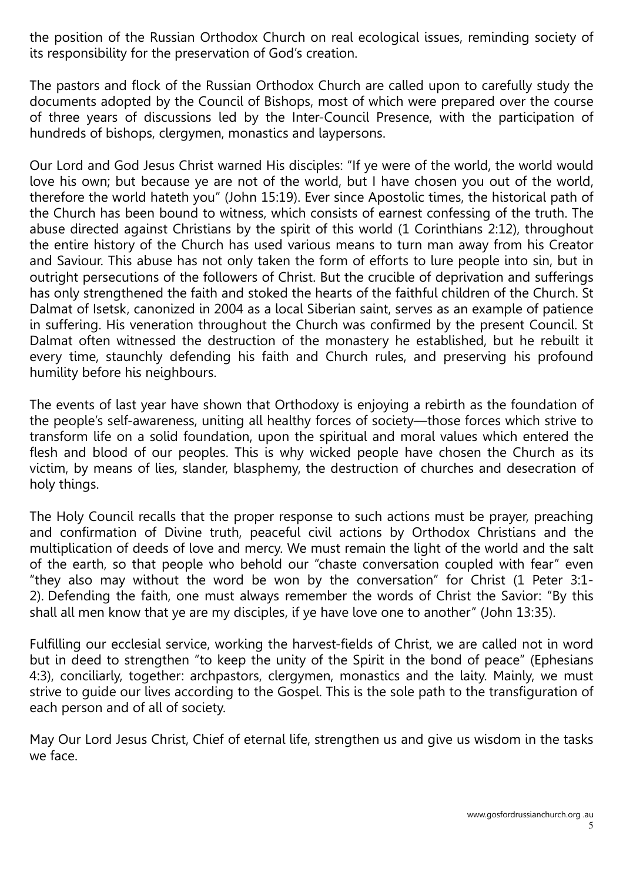the position of the Russian Orthodox Church on real ecological issues, reminding society of its responsibility for the preservation of God's creation.

The pastors and flock of the Russian Orthodox Church are called upon to carefully study the documents adopted by the Council of Bishops, most of which were prepared over the course of three years of discussions led by the Inter-Council Presence, with the participation of hundreds of bishops, clergymen, monastics and laypersons.

Our Lord and God Jesus Christ warned His disciples: "If ye were of the world, the world would love his own; but because ye are not of the world, but I have chosen you out of the world, therefore the world hateth you" (John 15:19). Ever since Apostolic times, the historical path of the Church has been bound to witness, which consists of earnest confessing of the truth. The abuse directed against Christians by the spirit of this world (1 Corinthians 2:12), throughout the entire history of the Church has used various means to turn man away from his Creator and Saviour. This abuse has not only taken the form of efforts to lure people into sin, but in outright persecutions of the followers of Christ. But the crucible of deprivation and sufferings has only strengthened the faith and stoked the hearts of the faithful children of the Church. St Dalmat of Isetsk, canonized in 2004 as a local Siberian saint, serves as an example of patience in suffering. His veneration throughout the Church was confirmed by the present Council. St Dalmat often witnessed the destruction of the monastery he established, but he rebuilt it every time, staunchly defending his faith and Church rules, and preserving his profound humility before his neighbours.

The events of last year have shown that Orthodoxy is enjoying a rebirth as the foundation of the people's self-awareness, uniting all healthy forces of society—those forces which strive to transform life on a solid foundation, upon the spiritual and moral values which entered the flesh and blood of our peoples. This is why wicked people have chosen the Church as its victim, by means of lies, slander, blasphemy, the destruction of churches and desecration of holy things.

The Holy Council recalls that the proper response to such actions must be prayer, preaching and confirmation of Divine truth, peaceful civil actions by Orthodox Christians and the multiplication of deeds of love and mercy. We must remain the light of the world and the salt of the earth, so that people who behold our "chaste conversation coupled with fear" even "they also may without the word be won by the conversation" for Christ (1 Peter 3:1- 2). Defending the faith, one must always remember the words of Christ the Savior: "By this shall all men know that ye are my disciples, if ye have love one to another" (John 13:35).

Fulfilling our ecclesial service, working the harvest-fields of Christ, we are called not in word but in deed to strengthen "to keep the unity of the Spirit in the bond of peace" (Ephesians 4:3), conciliarly, together: archpastors, clergymen, monastics and the laity. Mainly, we must strive to guide our lives according to the Gospel. This is the sole path to the transfiguration of each person and of all of society.

May Our Lord Jesus Christ, Chief of eternal life, strengthen us and give us wisdom in the tasks we face.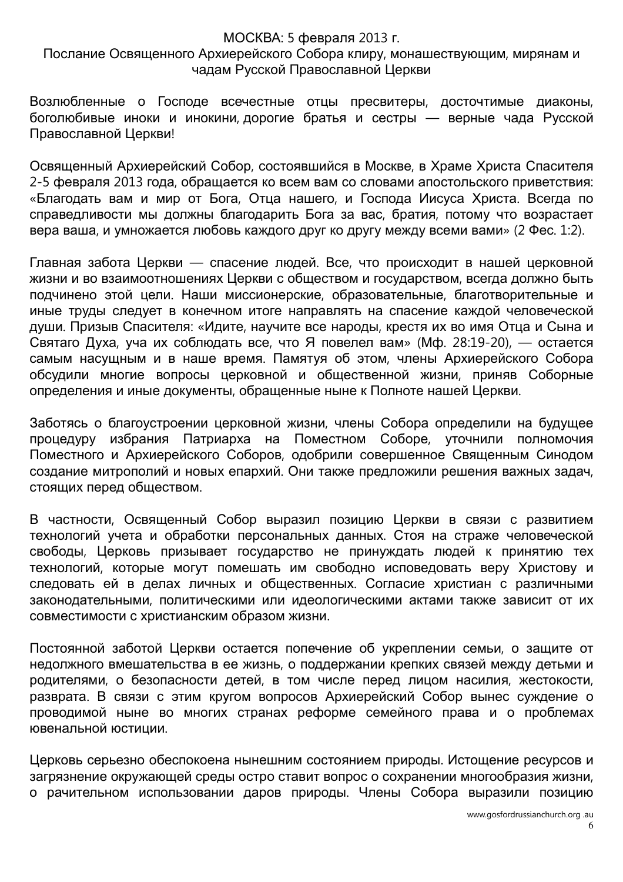#### МОСКВА: 5 февраля 2013 г.

### Послание Освященного Архиерейского Собора клиру, монашествующим, мирянам и чадам Русской Православной Церкви

Возлюбленные о Господе всечестные отцы пресвитеры, досточтимые диаконы, боголюбивые иноки и инокини, дорогие братья и сестры — верные чада Русской Православной Церкви!

Освященный Архиерейский Собор, состоявшийся в Москве, в Храме Христа Спасителя 2-5 февраля 2013 года, обращается ко всем вам со словами апостольского приветствия: «Благодать вам и мир от Бога, Отца нашего, и Господа Иисуса Христа. Всегда по справедливости мы должны благодарить Бога за вас, братия, потому что возрастает вера ваша, и умножается любовь каждого друг ко другу между всеми вами» (2 Фес. 1:2).

Главная забота Церкви — спасение людей. Все, что происходит в нашей церковной жизни и во взаимоотношениях Церкви с обществом и государством, всегда должно быть подчинено этой цели. Наши миссионерские, образовательные, благотворительные и иные труды следует в конечном итоге направлять на спасение каждой человеческой души. Призыв Спасителя: «Идите, научите все народы, крестя их во имя Отца и Сына и Святаго Духа, уча их соблюдать все, что Я повелел вам» (Мф. 28:19-20), — остается самым насущным и в наше время. Памятуя об этом, члены Архиерейского Собора обсудили многие вопросы церковной и общественной жизни, приняв Соборные определения и иные документы, обращенные ныне к Полноте нашей Церкви.

Заботясь о благоустроении церковной жизни, члены Собора определили на будущее процедуру избрания Патриарха на Поместном Соборе, уточнили полномочия Поместного и Архиерейского Соборов, одобрили совершенное Священным Синодом создание митрополий и новых епархий. Они также предложили решения важных задач, стоящих перед обществом.

В частности, Освященный Собор выразил позицию Церкви в связи с развитием технологий учета и обработки персональных данных. Стоя на страже человеческой свободы, Церковь призывает государство не принуждать людей к принятию тех технологий, которые могут помешать им свободно исповедовать веру Христову и следовать ей в делах личных и общественных. Согласие христиан с различными законодательными, политическими или идеологическими актами также зависит от их совместимости с христианским образом жизни.

Постоянной заботой Церкви остается попечение об укреплении семьи, о защите от недолжного вмешательства в ее жизнь, о поддержании крепких связей между детьми и родителями, о безопасности детей, в том числе перед лицом насилия, жестокости, разврата. В связи с этим кругом вопросов Архиерейский Собор вынес суждение о проводимой ныне во многих странах реформе семейного права и о проблемах ювенальной юстиции.

Церковь серьезно обеспокоена нынешним состоянием природы. Истощение ресурсов и загрязнение окружающей среды остро ставит вопрос о сохранении многообразия жизни, о рачительном использовании даров природы. Члены Собора выразили позицию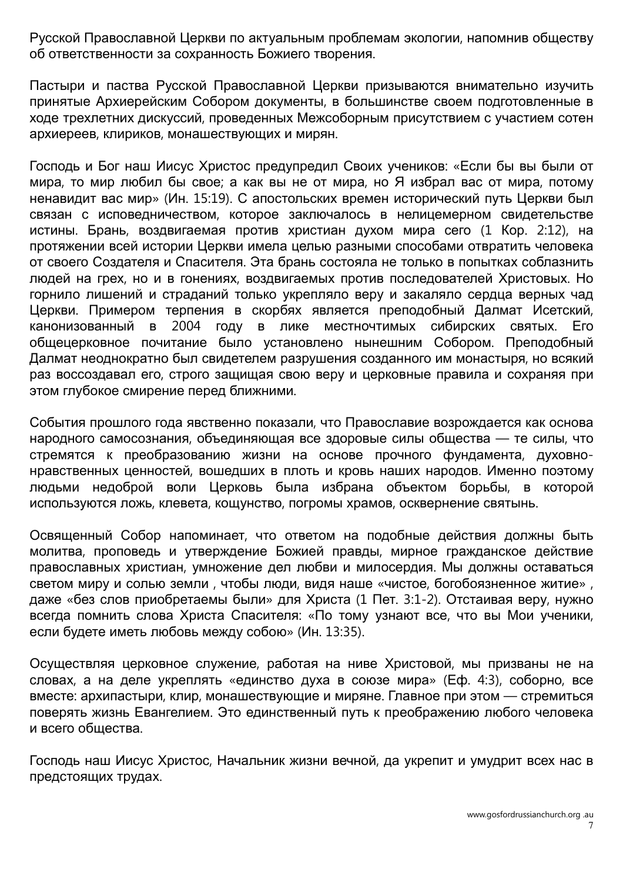Русской Православной Церкви по актуальным проблемам экологии, напомнив обществу об ответственности за сохранность Божиего творения.

Пастыри и паства Русской Православной Церкви призываются внимательно изучить принятые Архиерейским Собором документы, в большинстве своем подготовленные в ходе трехлетних дискуссий, проведенных Межсоборным присутствием с участием сотен архиереев, клириков, монашествующих и мирян.

Господь и Бог наш Иисус Христос предупредил Своих учеников: «Если бы вы были от мира, то мир любил бы свое; а как вы не от мира, но Я избрал вас от мира, потому ненавидит вас мир» (Ин. 15:19). С апостольских времен исторический путь Церкви был связан с исповедничеством, которое заключалось в нелицемерном свидетельстве истины. Брань, воздвигаемая против христиан духом мира сего (1 Кор. 2:12), на протяжении всей истории Церкви имела целью разными способами отвратить человека от своего Создателя и Спасителя. Эта брань состояла не только в попытках соблазнить людей на грех, но и в гонениях, воздвигаемых против последователей Христовых. Но горнило лишений и страданий только укрепляло веру и закаляло сердца верных чад Церкви. Примером терпения в скорбях является преподобный Далмат Исетский, канонизованный в 2004 году в лике местночтимых сибирских святых. Его общецерковное почитание было установлено нынешним Собором. Преподобный Далмат неоднократно был свидетелем разрушения созданного им монастыря, но всякий раз воссоздавал его, строго защищая свою веру и церковные правила и сохраняя при этом глубокое смирение перед ближними.

События прошлого года явственно показали, что Православие возрождается как основа народного самосознания, объединяющая все здоровые силы общества — те силы, что стремятся к преобразованию жизни на основе прочного фундамента, духовнонравственных ценностей, вошедших в плоть и кровь наших народов. Именно поэтому людьми недоброй воли Церковь была избрана объектом борьбы, в которой используются ложь, клевета, кощунство, погромы храмов, осквернение святынь.

Освященный Собор напоминает, что ответом на подобные действия должны быть молитва, проповедь и утверждение Божией правды, мирное гражданское действие православных христиан, умножение дел любви и милосердия. Мы должны оставаться светом миру и солью земли , чтобы люди, видя наше «чистое, богобоязненное житие» , даже «без слов приобретаемы были» для Христа (1 Пет. 3:1-2). Отстаивая веру, нужно всегда помнить слова Христа Спасителя: «По тому узнают все, что вы Мои ученики, если будете иметь любовь между собою» (Ин. 13:35).

Осуществляя церковное служение, работая на ниве Христовой, мы призваны не на словах, а на деле укреплять «единство духа в союзе мира» (Еф. 4:3), соборно, все вместе: архипастыри, клир, монашествующие и миряне. Главное при этом — стремиться поверять жизнь Евангелием. Это единственный путь к преображению любого человека и всего общества.

Господь наш Иисус Христос, Начальник жизни вечной, да укрепит и умудрит всех нас в предстоящих трудах.